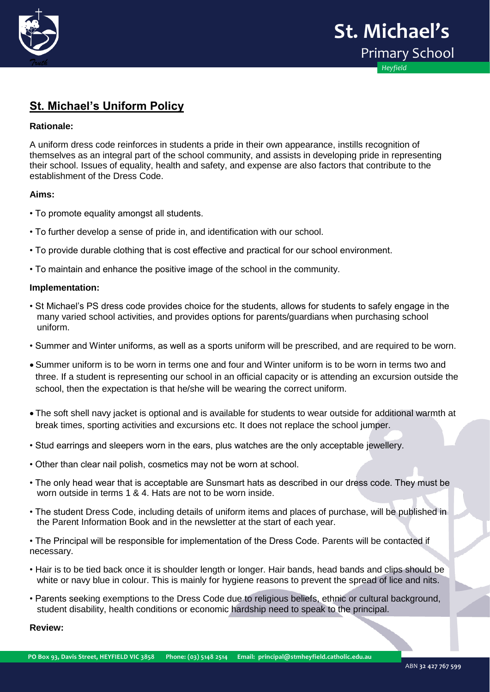

## **St. Michael's Uniform Policy**

## **Rationale:**

A uniform dress code reinforces in students a pride in their own appearance, instills recognition of themselves as an integral part of the school community, and assists in developing pride in representing their school. Issues of equality, health and safety, and expense are also factors that contribute to the establishment of the Dress Code.

## **Aims:**

- To promote equality amongst all students.
- To further develop a sense of pride in, and identification with our school.
- To provide durable clothing that is cost effective and practical for our school environment.
- To maintain and enhance the positive image of the school in the community.

## **Implementation:**

- St Michael's PS dress code provides choice for the students, allows for students to safely engage in the many varied school activities, and provides options for parents/guardians when purchasing school uniform.
- Summer and Winter uniforms, as well as a sports uniform will be prescribed, and are required to be worn.
- Summer uniform is to be worn in terms one and four and Winter uniform is to be worn in terms two and three. If a student is representing our school in an official capacity or is attending an excursion outside the school, then the expectation is that he/she will be wearing the correct uniform.
- The soft shell navy jacket is optional and is available for students to wear outside for additional warmth at break times, sporting activities and excursions etc. It does not replace the school jumper.
- Stud earrings and sleepers worn in the ears, plus watches are the only acceptable jewellery.
- Other than clear nail polish, cosmetics may not be worn at school.
- The only head wear that is acceptable are Sunsmart hats as described in our dress code. They must be worn outside in terms 1 & 4. Hats are not to be worn inside.
- the Parent Information Book and in the newsletter at the start of each year. • The student Dress Code, including details of uniform items and places of purchase, will be published in
- The Principal will be responsible for implementation of the Dress Code. Parents will be contacted if necessary.
- Hair is to be tied back once it is shoulder length or longer. Hair bands, head bands and clips should be white or navy blue in colour. This is mainly for hygiene reasons to prevent the spread of lice and nits.
- Parents seeking exemptions to the Dress Code due to religious beliefs, ethnic or cultural background, student disability, health conditions or economic hardship need to speak to the principal.

**Review:**